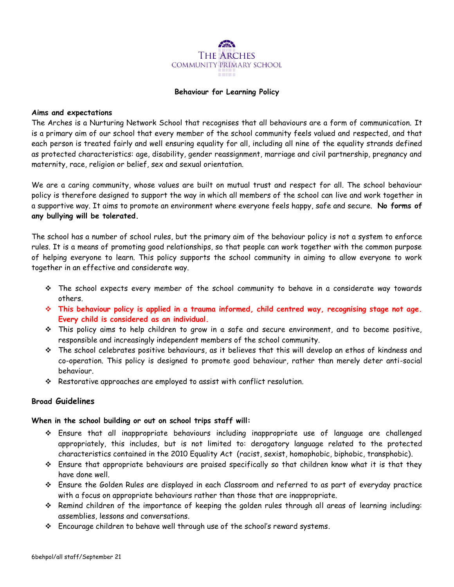

#### **Behaviour for Learning Policy**

#### **Aims and expectations**

The Arches is a Nurturing Network School that recognises that all behaviours are a form of communication. It is a primary aim of our school that every member of the school community feels valued and respected, and that each person is treated fairly and well ensuring equality for all, including all nine of the equality strands defined as protected characteristics: age, disability, gender reassignment, marriage and civil partnership, pregnancy and maternity, race, religion or belief, sex and sexual orientation.

We are a caring community, whose values are built on mutual trust and respect for all. The school behaviour policy is therefore designed to support the way in which all members of the school can live and work together in a supportive way. It aims to promote an environment where everyone feels happy, safe and secure. **No forms of any bullying will be tolerated.**

The school has a number of school rules, but the primary aim of the behaviour policy is not a system to enforce rules. It is a means of promoting good relationships, so that people can work together with the common purpose of helping everyone to learn. This policy supports the school community in aiming to allow everyone to work together in an effective and considerate way.

- $\hat{P}$  The school expects every member of the school community to behave in a considerate way towards others.
- **This behaviour policy is applied in a trauma informed, child centred way, recognising stage not age. Every child is considered as an individual.**
- This policy aims to help children to grow in a safe and secure environment, and to become positive, responsible and increasingly independent members of the school community.
- The school celebrates positive behaviours, as it believes that this will develop an ethos of kindness and co-operation. This policy is designed to promote good behaviour, rather than merely deter anti-social behaviour.
- Restorative approaches are employed to assist with conflict resolution.

## **Broad Guidelines**

## **When in the school building or out on school trips staff will:**

- Ensure that all inappropriate behaviours including inappropriate use of language are challenged appropriately, this includes, but is not limited to: derogatory language related to the protected characteristics contained in the 2010 Equality Act (racist, sexist, homophobic, biphobic, transphobic).
- Ensure that appropriate behaviours are praised specifically so that children know what it is that they have done well.
- Ensure the Golden Rules are displayed in each Classroom and referred to as part of everyday practice with a focus on appropriate behaviours rather than those that are inappropriate.
- Remind children of the importance of keeping the golden rules through all areas of learning including: assemblies, lessons and conversations.
- Encourage children to behave well through use of the school's reward systems.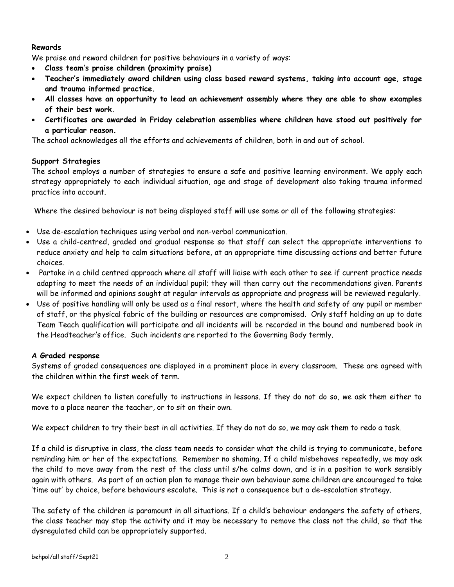## **Rewards**

We praise and reward children for positive behaviours in a variety of ways:

- **Class team's praise children (proximity praise)**
- **Teacher's immediately award children using class based reward systems, taking into account age, stage and trauma informed practice.**
- **All classes have an opportunity to lead an achievement assembly where they are able to show examples of their best work.**
- **Certificates are awarded in Friday celebration assemblies where children have stood out positively for a particular reason.**

The school acknowledges all the efforts and achievements of children, both in and out of school.

## **Support Strategies**

The school employs a number of strategies to ensure a safe and positive learning environment. We apply each strategy appropriately to each individual situation, age and stage of development also taking trauma informed practice into account.

Where the desired behaviour is not being displayed staff will use some or all of the following strategies:

- Use de-escalation techniques using verbal and non-verbal communication.
- Use a child-centred, graded and gradual response so that staff can select the appropriate interventions to reduce anxiety and help to calm situations before, at an appropriate time discussing actions and better future choices.
- Partake in a child centred approach where all staff will liaise with each other to see if current practice needs adapting to meet the needs of an individual pupil; they will then carry out the recommendations given. Parents will be informed and opinions sought at regular intervals as appropriate and progress will be reviewed regularly.
- Use of positive handling will only be used as a final resort, where the health and safety of any pupil or member of staff, or the physical fabric of the building or resources are compromised. Only staff holding an up to date Team Teach qualification will participate and all incidents will be recorded in the bound and numbered book in the Headteacher's office. Such incidents are reported to the Governing Body termly.

## **A Graded response**

Systems of graded consequences are displayed in a prominent place in every classroom. These are agreed with the children within the first week of term.

We expect children to listen carefully to instructions in lessons. If they do not do so, we ask them either to move to a place nearer the teacher, or to sit on their own.

We expect children to try their best in all activities. If they do not do so, we may ask them to redo a task.

If a child is disruptive in class, the class team needs to consider what the child is trying to communicate, before reminding him or her of the expectations. Remember no shaming. If a child misbehaves repeatedly, we may ask the child to move away from the rest of the class until s/he calms down, and is in a position to work sensibly again with others. As part of an action plan to manage their own behaviour some children are encouraged to take 'time out' by choice, before behaviours escalate. This is not a consequence but a de-escalation strategy.

The safety of the children is paramount in all situations. If a child's behaviour endangers the safety of others, the class teacher may stop the activity and it may be necessary to remove the class not the child, so that the dysregulated child can be appropriately supported.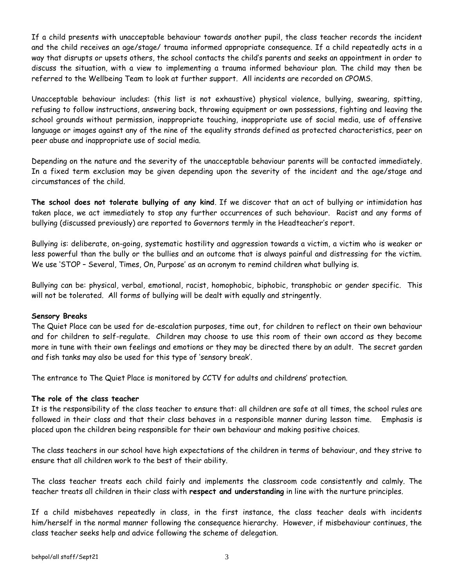If a child presents with unacceptable behaviour towards another pupil, the class teacher records the incident and the child receives an age/stage/ trauma informed appropriate consequence. If a child repeatedly acts in a way that disrupts or upsets others, the school contacts the child's parents and seeks an appointment in order to discuss the situation, with a view to implementing a trauma informed behaviour plan. The child may then be referred to the Wellbeing Team to look at further support. All incidents are recorded on CPOMS.

Unacceptable behaviour includes: (this list is not exhaustive) physical violence, bullying, swearing, spitting, refusing to follow instructions, answering back, throwing equipment or own possessions, fighting and leaving the school grounds without permission, inappropriate touching, inappropriate use of social media, use of offensive language or images against any of the nine of the equality strands defined as protected characteristics, peer on peer abuse and inappropriate use of social media.

Depending on the nature and the severity of the unacceptable behaviour parents will be contacted immediately. In a fixed term exclusion may be given depending upon the severity of the incident and the age/stage and circumstances of the child.

**The school does not tolerate bullying of any kind**. If we discover that an act of bullying or intimidation has taken place, we act immediately to stop any further occurrences of such behaviour. Racist and any forms of bullying (discussed previously) are reported to Governors termly in the Headteacher's report.

Bullying is: deliberate, on-going, systematic hostility and aggression towards a victim, a victim who is weaker or less powerful than the bully or the bullies and an outcome that is always painful and distressing for the victim. We use 'STOP – Several, Times, On, Purpose' as an acronym to remind children what bullying is.

Bullying can be: physical, verbal, emotional, racist, homophobic, biphobic, transphobic or gender specific. This will not be tolerated. All forms of bullying will be dealt with equally and stringently.

## **Sensory Breaks**

The Quiet Place can be used for de-escalation purposes, time out, for children to reflect on their own behaviour and for children to self-regulate. Children may choose to use this room of their own accord as they become more in tune with their own feelings and emotions or they may be directed there by an adult. The secret garden and fish tanks may also be used for this type of 'sensory break'.

The entrance to The Quiet Place is monitored by CCTV for adults and childrens' protection.

## **The role of the class teacher**

It is the responsibility of the class teacher to ensure that: all children are safe at all times, the school rules are followed in their class and that their class behaves in a responsible manner during lesson time. Emphasis is placed upon the children being responsible for their own behaviour and making positive choices.

The class teachers in our school have high expectations of the children in terms of behaviour, and they strive to ensure that all children work to the best of their ability.

The class teacher treats each child fairly and implements the classroom code consistently and calmly. The teacher treats all children in their class with **respect and understanding** in line with the nurture principles.

If a child misbehaves repeatedly in class, in the first instance, the class teacher deals with incidents him/herself in the normal manner following the consequence hierarchy. However, if misbehaviour continues, the class teacher seeks help and advice following the scheme of delegation.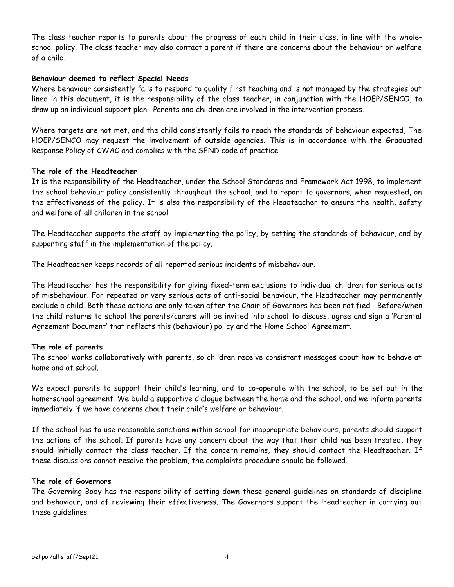The class teacher reports to parents about the progress of each child in their class, in line with the whole– school policy. The class teacher may also contact a parent if there are concerns about the behaviour or welfare of a child.

#### **Behaviour deemed to reflect Special Needs**

Where behaviour consistently fails to respond to quality first teaching and is not managed by the strategies out lined in this document, it is the responsibility of the class teacher, in conjunction with the HOEP/SENCO, to draw up an individual support plan. Parents and children are involved in the intervention process.

Where targets are not met, and the child consistently fails to reach the standards of behaviour expected, The HOEP/SENCO may request the involvement of outside agencies. This is in accordance with the Graduated Response Policy of CWAC and complies with the SEND code of practice.

#### **The role of the Headteacher**

It is the responsibility of the Headteacher, under the School Standards and Framework Act 1998, to implement the school behaviour policy consistently throughout the school, and to report to governors, when requested, on the effectiveness of the policy. It is also the responsibility of the Headteacher to ensure the health, safety and welfare of all children in the school.

The Headteacher supports the staff by implementing the policy, by setting the standards of behaviour, and by supporting staff in the implementation of the policy.

The Headteacher keeps records of all reported serious incidents of misbehaviour.

The Headteacher has the responsibility for giving fixed-term exclusions to individual children for serious acts of misbehaviour. For repeated or very serious acts of anti-social behaviour, the Headteacher may permanently exclude a child. Both these actions are only taken after the Chair of Governors has been notified. Before/when the child returns to school the parents/carers will be invited into school to discuss, agree and sign a 'Parental Agreement Document' that reflects this (behaviour) policy and the Home School Agreement.

## **The role of parents**

The school works collaboratively with parents, so children receive consistent messages about how to behave at home and at school.

We expect parents to support their child's learning, and to co-operate with the school, to be set out in the home–school agreement. We build a supportive dialogue between the home and the school, and we inform parents immediately if we have concerns about their child's welfare or behaviour.

If the school has to use reasonable sanctions within school for inappropriate behaviours, parents should support the actions of the school. If parents have any concern about the way that their child has been treated, they should initially contact the class teacher. If the concern remains, they should contact the Headteacher. If these discussions cannot resolve the problem, the complaints procedure should be followed.

#### **The role of Governors**

The Governing Body has the responsibility of setting down these general guidelines on standards of discipline and behaviour, and of reviewing their effectiveness. The Governors support the Headteacher in carrying out these guidelines.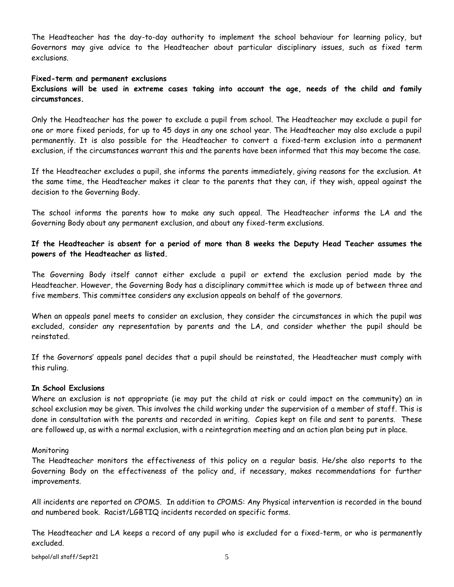The Headteacher has the day-to-day authority to implement the school behaviour for learning policy, but Governors may give advice to the Headteacher about particular disciplinary issues, such as fixed term exclusions.

#### **Fixed-term and permanent exclusions**

**Exclusions will be used in extreme cases taking into account the age, needs of the child and family circumstances.**

Only the Headteacher has the power to exclude a pupil from school. The Headteacher may exclude a pupil for one or more fixed periods, for up to 45 days in any one school year. The Headteacher may also exclude a pupil permanently. It is also possible for the Headteacher to convert a fixed-term exclusion into a permanent exclusion, if the circumstances warrant this and the parents have been informed that this may become the case.

If the Headteacher excludes a pupil, she informs the parents immediately, giving reasons for the exclusion. At the same time, the Headteacher makes it clear to the parents that they can, if they wish, appeal against the decision to the Governing Body.

The school informs the parents how to make any such appeal. The Headteacher informs the LA and the Governing Body about any permanent exclusion, and about any fixed-term exclusions.

## **If the Headteacher is absent for a period of more than 8 weeks the Deputy Head Teacher assumes the powers of the Headteacher as listed.**

The Governing Body itself cannot either exclude a pupil or extend the exclusion period made by the Headteacher. However, the Governing Body has a disciplinary committee which is made up of between three and five members. This committee considers any exclusion appeals on behalf of the governors.

When an appeals panel meets to consider an exclusion, they consider the circumstances in which the pupil was excluded, consider any representation by parents and the LA, and consider whether the pupil should be reinstated.

If the Governors' appeals panel decides that a pupil should be reinstated, the Headteacher must comply with this ruling.

#### **In School Exclusions**

Where an exclusion is not appropriate (ie may put the child at risk or could impact on the community) an in school exclusion may be given. This involves the child working under the supervision of a member of staff. This is done in consultation with the parents and recorded in writing. Copies kept on file and sent to parents. These are followed up, as with a normal exclusion, with a reintegration meeting and an action plan being put in place.

#### Monitoring

The Headteacher monitors the effectiveness of this policy on a regular basis. He/she also reports to the Governing Body on the effectiveness of the policy and, if necessary, makes recommendations for further improvements.

All incidents are reported on CPOMS. In addition to CPOMS: Any Physical intervention is recorded in the bound and numbered book. Racist/LGBTIQ incidents recorded on specific forms.

The Headteacher and LA keeps a record of any pupil who is excluded for a fixed-term, or who is permanently excluded.